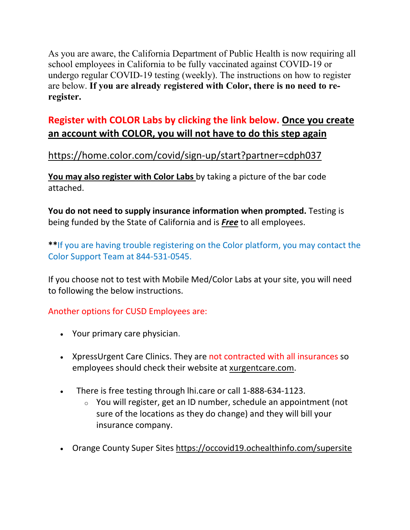As you are aware, the California Department of Public Health is now requiring all school employees in California to be fully vaccinated against COVID-19 or undergo regular COVID-19 testing (weekly). The instructions on how to register are below. **If you are already registered with Color, there is no need to reregister.**

## **Register with COLOR Labs by clicking the link below. Once you create an account with COLOR, you will not have to do this step again**

## <https://home.color.com/covid/sign-up/start?partner=cdph037>

**You may also register with Color Labs** by taking a picture of the bar code attached.

**You do not need to supply insurance information when prompted.** Testing is being funded by the State of California and is *Free* to all employees.

**\*\***If you are having trouble registering on the Color platform, you may contact the Color Support Team at 844-531-0545.

If you choose not to test with Mobile Med/Color Labs at your site, you will need to following the below instructions.

## Another options for CUSD Employees are:

- Your primary care physician.
- XpressUrgent Care Clinics. They are not contracted with all insurances so employees should check their website at [xurgentcare.com.](https://linkprotect.cudasvc.com/url?a=https%3a%2f%2fxurgentcare.com&c=E,1,kAfEN8qRmJgPsWgzwQ42xYAmHUifznH2_9QhlqB3df5wWe0adzGwWo9kwQIvo-xfxhcaJEFahrvXEfINMgGVP3LY4N5o5Kjvql5mwoBriGkyk9B_J6urFETQqnw,&typo=1)
- There is free testing through lhi.care or call 1-888-634-1123.
	- $\circ$  You will register, get an ID number, schedule an appointment (not sure of the locations as they do change) and they will bill your insurance company.
- Orange County Super Sites<https://occovid19.ochealthinfo.com/supersite>